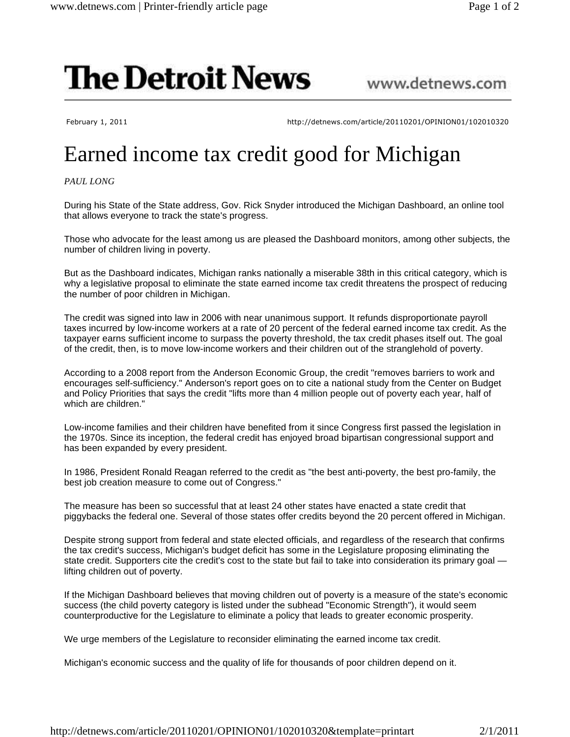## **The Detroit News**

## www.detnews.com

February 1, 2011 http://detnews.com/article/20110201/OPINION01/102010320

## Earned income tax credit good for Michigan

*PAUL LONG*

During his State of the State address, Gov. Rick Snyder introduced the Michigan Dashboard, an online tool that allows everyone to track the state's progress.

Those who advocate for the least among us are pleased the Dashboard monitors, among other subjects, the number of children living in poverty.

But as the Dashboard indicates, Michigan ranks nationally a miserable 38th in this critical category, which is why a legislative proposal to eliminate the state earned income tax credit threatens the prospect of reducing the number of poor children in Michigan.

The credit was signed into law in 2006 with near unanimous support. It refunds disproportionate payroll taxes incurred by low-income workers at a rate of 20 percent of the federal earned income tax credit. As the taxpayer earns sufficient income to surpass the poverty threshold, the tax credit phases itself out. The goal of the credit, then, is to move low-income workers and their children out of the stranglehold of poverty.

According to a 2008 report from the Anderson Economic Group, the credit "removes barriers to work and encourages self-sufficiency." Anderson's report goes on to cite a national study from the Center on Budget and Policy Priorities that says the credit "lifts more than 4 million people out of poverty each year, half of which are children."

Low-income families and their children have benefited from it since Congress first passed the legislation in the 1970s. Since its inception, the federal credit has enjoyed broad bipartisan congressional support and has been expanded by every president.

In 1986, President Ronald Reagan referred to the credit as "the best anti-poverty, the best pro-family, the best job creation measure to come out of Congress."

The measure has been so successful that at least 24 other states have enacted a state credit that piggybacks the federal one. Several of those states offer credits beyond the 20 percent offered in Michigan.

Despite strong support from federal and state elected officials, and regardless of the research that confirms the tax credit's success, Michigan's budget deficit has some in the Legislature proposing eliminating the state credit. Supporters cite the credit's cost to the state but fail to take into consideration its primary goal lifting children out of poverty.

If the Michigan Dashboard believes that moving children out of poverty is a measure of the state's economic success (the child poverty category is listed under the subhead "Economic Strength"), it would seem counterproductive for the Legislature to eliminate a policy that leads to greater economic prosperity.

We urge members of the Legislature to reconsider eliminating the earned income tax credit.

Michigan's economic success and the quality of life for thousands of poor children depend on it.